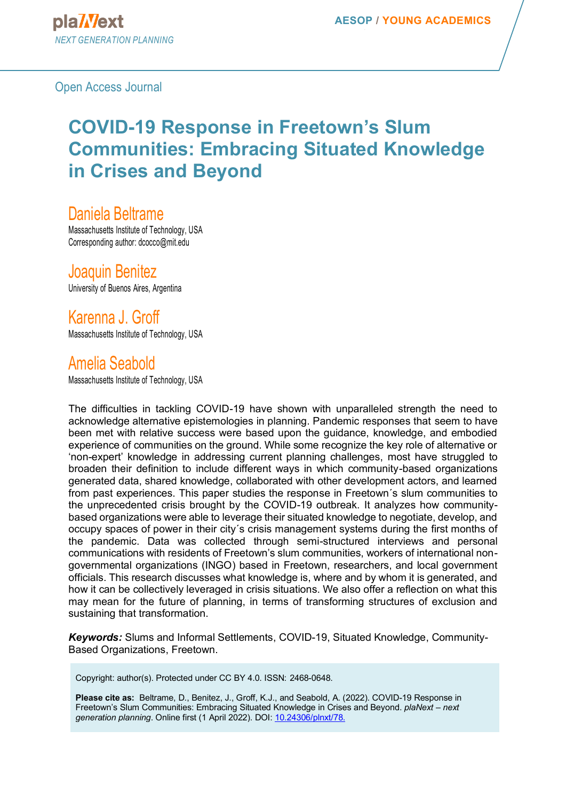# **COVID-19 Response in Freetown's Slum Communities: Embracing Situated Knowledge in Crises and Beyond**

# Daniela Beltrame

Massachusetts Institute of Technology, USA Corresponding author: dcocco@mit.edu

# Joaquin Benitez

University of Buenos Aires, Argentina

# Karenna J. Groff

Massachusetts Institute of Technology, USA

# Amelia Seabold

Massachusetts Institute of Technology, USA

The difficulties in tackling COVID-19 have shown with unparalleled strength the need to acknowledge alternative epistemologies in planning. Pandemic responses that seem to have been met with relative success were based upon the guidance, knowledge, and embodied experience of communities on the ground. While some recognize the key role of alternative or 'non-expert' knowledge in addressing current planning challenges, most have struggled to broaden their definition to include different ways in which community-based organizations generated data, shared knowledge, collaborated with other development actors, and learned from past experiences. This paper studies the response in Freetown´s slum communities to the unprecedented crisis brought by the COVID-19 outbreak. It analyzes how communitybased organizations were able to leverage their situated knowledge to negotiate, develop, and occupy spaces of power in their city´s crisis management systems during the first months of the pandemic. Data was collected through semi-structured interviews and personal communications with residents of Freetown's slum communities, workers of international nongovernmental organizations (INGO) based in Freetown, researchers, and local government officials. This research discusses what knowledge is, where and by whom it is generated, and how it can be collectively leveraged in crisis situations. We also offer a reflection on what this may mean for the future of planning, in terms of transforming structures of exclusion and sustaining that transformation.

*Keywords:* Slums and Informal Settlements, COVID-19, Situated Knowledge, Community-Based Organizations, Freetown.

Copyright: author(s). Protected under CC BY 4.0. ISSN: 2468-0648.

**Please cite as:** Beltrame, D., Benitez, J., Groff, K.J., and Seabold, A. (2022). COVID-19 Response in Freetown's Slum Communities: Embracing Situated Knowledge in Crises and Beyond. *plaNext – next generation planning*. Online first (1 April 2022). DOI: [10.24306/plnxt/78.](https://doi.org/10.24306/plnxt/78)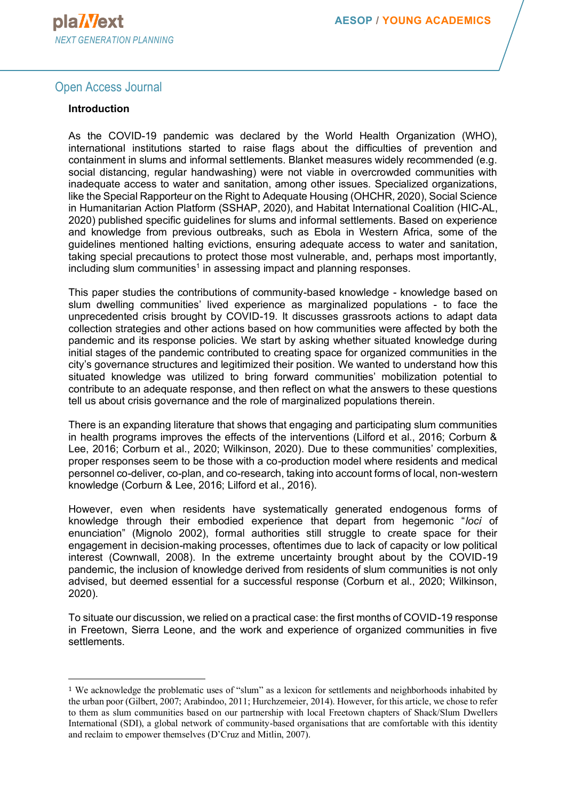#### **Introduction**

As the COVID-19 pandemic was declared by the World Health Organization (WHO), international institutions started to raise flags about the difficulties of prevention and containment in slums and informal settlements. Blanket measures widely recommended (e.g. social distancing, regular handwashing) were not viable in overcrowded communities with inadequate access to water and sanitation, among other issues. Specialized organizations, like the Special Rapporteur on the Right to Adequate Housing (OHCHR, 2020), Social Science in Humanitarian Action Platform (SSHAP, 2020), and Habitat International Coalition (HIC-AL, 2020) published specific guidelines for slums and informal settlements. Based on experience and knowledge from previous outbreaks, such as Ebola in Western Africa, some of the guidelines mentioned halting evictions, ensuring adequate access to water and sanitation, taking special precautions to protect those most vulnerable, and, perhaps most importantly, including slum communities<sup>1</sup> in assessing impact and planning responses.

This paper studies the contributions of community-based knowledge - knowledge based on slum dwelling communities' lived experience as marginalized populations - to face the unprecedented crisis brought by COVID-19. It discusses grassroots actions to adapt data collection strategies and other actions based on how communities were affected by both the pandemic and its response policies. We start by asking whether situated knowledge during initial stages of the pandemic contributed to creating space for organized communities in the city's governance structures and legitimized their position. We wanted to understand how this situated knowledge was utilized to bring forward communities' mobilization potential to contribute to an adequate response, and then reflect on what the answers to these questions tell us about crisis governance and the role of marginalized populations therein.

There is an expanding literature that shows that engaging and participating slum communities in health programs improves the effects of the interventions (Lilford et al., 2016; Corburn & Lee, 2016; Corburn et al., 2020; Wilkinson, 2020). Due to these communities' complexities, proper responses seem to be those with a co-production model where residents and medical personnel co-deliver, co-plan, and co-research, taking into account forms of local, non-western knowledge (Corburn & Lee, 2016; Lilford et al., 2016).

However, even when residents have systematically generated endogenous forms of knowledge through their embodied experience that depart from hegemonic "*loci* of enunciation" (Mignolo 2002), formal authorities still struggle to create space for their engagement in decision-making processes, oftentimes due to lack of capacity or low political interest (Cownwall, 2008). In the extreme uncertainty brought about by the COVID-19 pandemic, the inclusion of knowledge derived from residents of slum communities is not only advised, but deemed essential for a successful response (Corburn et al., 2020; Wilkinson, 2020).

To situate our discussion, we relied on a practical case: the first months of COVID-19 response in Freetown, Sierra Leone, and the work and experience of organized communities in five settlements.

<sup>1</sup> We acknowledge the problematic uses of "slum" as a lexicon for settlements and neighborhoods inhabited by the urban poor (Gilbert, 2007; Arabindoo, 2011; Hurchzemeier, 2014). However, for this article, we chose to refer to them as slum communities based on our partnership with local Freetown chapters of Shack/Slum Dwellers International (SDI), a global network of community-based organisations that are comfortable with this identity and reclaim to empower themselves (D'Cruz and Mitlin, 2007).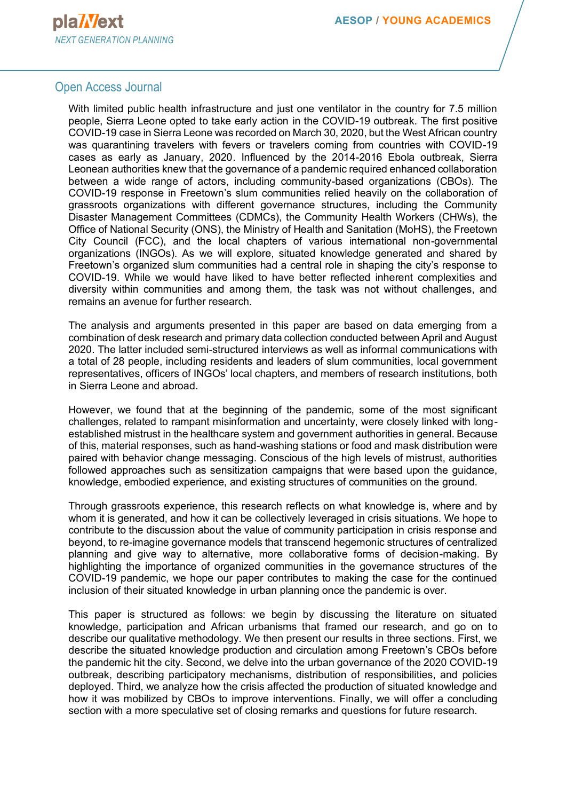With limited public health infrastructure and just one ventilator in the country for 7.5 million people, Sierra Leone opted to take early action in the COVID-19 outbreak. The first positive COVID-19 case in Sierra Leone was recorded on March 30, 2020, but the West African country was quarantining travelers with fevers or travelers coming from countries with COVID-19 cases as early as January, 2020. Influenced by the 2014-2016 Ebola outbreak, Sierra Leonean authorities knew that the governance of a pandemic required enhanced collaboration between a wide range of actors, including community-based organizations (CBOs). The COVID-19 response in Freetown's slum communities relied heavily on the collaboration of grassroots organizations with different governance structures, including the Community Disaster Management Committees (CDMCs), the Community Health Workers (CHWs), the Office of National Security (ONS), the Ministry of Health and Sanitation (MoHS), the Freetown City Council (FCC), and the local chapters of various international non-governmental organizations (INGOs). As we will explore, situated knowledge generated and shared by Freetown's organized slum communities had a central role in shaping the city's response to COVID-19. While we would have liked to have better reflected inherent complexities and diversity within communities and among them, the task was not without challenges, and remains an avenue for further research.

The analysis and arguments presented in this paper are based on data emerging from a combination of desk research and primary data collection conducted between April and August 2020. The latter included semi-structured interviews as well as informal communications with a total of 28 people, including residents and leaders of slum communities, local government representatives, officers of INGOs' local chapters, and members of research institutions, both in Sierra Leone and abroad.

However, we found that at the beginning of the pandemic, some of the most significant challenges, related to rampant misinformation and uncertainty, were closely linked with longestablished mistrust in the healthcare system and government authorities in general. Because of this, material responses, such as hand-washing stations or food and mask distribution were paired with behavior change messaging. Conscious of the high levels of mistrust, authorities followed approaches such as sensitization campaigns that were based upon the guidance, knowledge, embodied experience, and existing structures of communities on the ground.

Through grassroots experience, this research reflects on what knowledge is, where and by whom it is generated, and how it can be collectively leveraged in crisis situations. We hope to contribute to the discussion about the value of community participation in crisis response and beyond, to re-imagine governance models that transcend hegemonic structures of centralized planning and give way to alternative, more collaborative forms of decision-making. By highlighting the importance of organized communities in the governance structures of the COVID-19 pandemic, we hope our paper contributes to making the case for the continued inclusion of their situated knowledge in urban planning once the pandemic is over.

This paper is structured as follows: we begin by discussing the literature on situated knowledge, participation and African urbanisms that framed our research, and go on to describe our qualitative methodology. We then present our results in three sections. First, we describe the situated knowledge production and circulation among Freetown's CBOs before the pandemic hit the city. Second, we delve into the urban governance of the 2020 COVID-19 outbreak, describing participatory mechanisms, distribution of responsibilities, and policies deployed. Third, we analyze how the crisis affected the production of situated knowledge and how it was mobilized by CBOs to improve interventions. Finally, we will offer a concluding section with a more speculative set of closing remarks and questions for future research.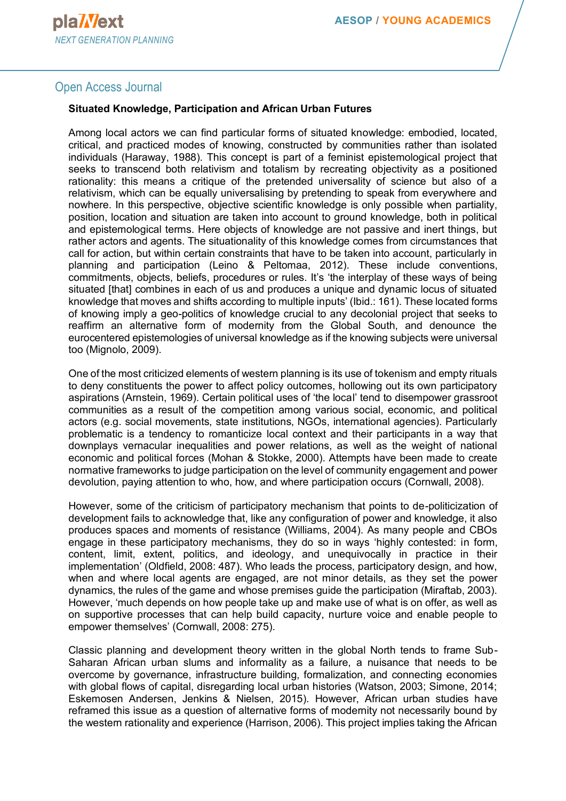#### **Situated Knowledge, Participation and African Urban Futures**

Among local actors we can find particular forms of situated knowledge: embodied, located, critical, and practiced modes of knowing, constructed by communities rather than isolated individuals (Haraway, 1988). This concept is part of a feminist epistemological project that seeks to transcend both relativism and totalism by recreating objectivity as a positioned rationality: this means a critique of the pretended universality of science but also of a relativism, which can be equally universalising by pretending to speak from everywhere and nowhere. In this perspective, objective scientific knowledge is only possible when partiality, position, location and situation are taken into account to ground knowledge, both in political and epistemological terms. Here objects of knowledge are not passive and inert things, but rather actors and agents. The situationality of this knowledge comes from circumstances that call for action, but within certain constraints that have to be taken into account, particularly in planning and participation (Leino & Peltomaa, 2012). These include conventions, commitments, objects, beliefs, procedures or rules. It's 'the interplay of these ways of being situated [that] combines in each of us and produces a unique and dynamic locus of situated knowledge that moves and shifts according to multiple inputs' (Ibid.: 161). These located forms of knowing imply a geo-politics of knowledge crucial to any decolonial project that seeks to reaffirm an alternative form of modernity from the Global South, and denounce the eurocentered epistemologies of universal knowledge as if the knowing subjects were universal too (Mignolo, 2009).

One of the most criticized elements of western planning is its use of tokenism and empty rituals to deny constituents the power to affect policy outcomes, hollowing out its own participatory aspirations (Arnstein, 1969). Certain political uses of 'the local' tend to disempower grassroot communities as a result of the competition among various social, economic, and political actors (e.g. social movements, state institutions, NGOs, international agencies). Particularly problematic is a tendency to romanticize local context and their participants in a way that downplays vernacular inequalities and power relations, as well as the weight of national economic and political forces (Mohan & Stokke, 2000). Attempts have been made to create normative frameworks to judge participation on the level of community engagement and power devolution, paying attention to who, how, and where participation occurs (Cornwall, 2008).

However, some of the criticism of participatory mechanism that points to de-politicization of development fails to acknowledge that, like any configuration of power and knowledge, it also produces spaces and moments of resistance (Williams, 2004). As many people and CBOs engage in these participatory mechanisms, they do so in ways 'highly contested: in form, content, limit, extent, politics, and ideology, and unequivocally in practice in their implementation' (Oldfield, 2008: 487). Who leads the process, participatory design, and how, when and where local agents are engaged, are not minor details, as they set the power dynamics, the rules of the game and whose premises guide the participation (Miraftab, 2003). However, 'much depends on how people take up and make use of what is on offer, as well as on supportive processes that can help build capacity, nurture voice and enable people to empower themselves' (Cornwall, 2008: 275).

Classic planning and development theory written in the global North tends to frame Sub-Saharan African urban slums and informality as a failure, a nuisance that needs to be overcome by governance, infrastructure building, formalization, and connecting economies with global flows of capital, disregarding local urban histories (Watson, 2003; Simone, 2014; Eskemosen Andersen, Jenkins & Nielsen, 2015). However, African urban studies have reframed this issue as a question of alternative forms of modernity not necessarily bound by the western rationality and experience (Harrison, 2006). This project implies taking the African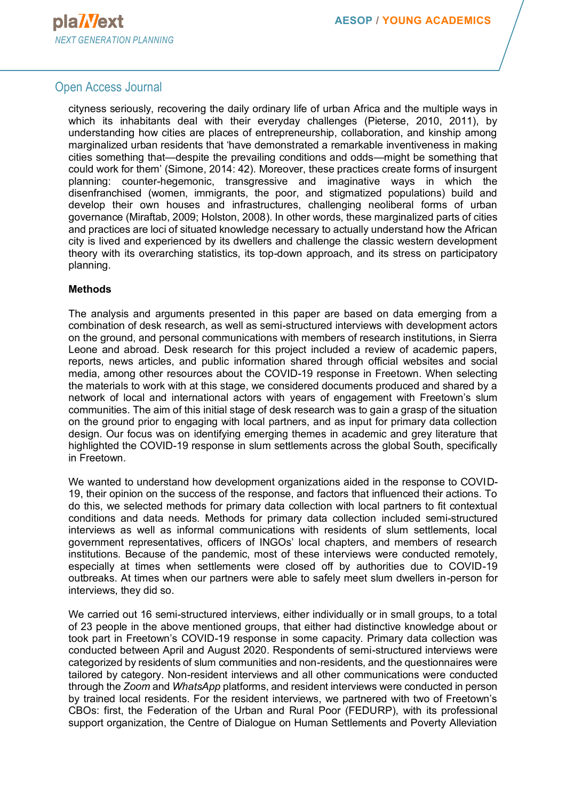

cityness seriously, recovering the daily ordinary life of urban Africa and the multiple ways in which its inhabitants deal with their everyday challenges (Pieterse, 2010, 2011), by understanding how cities are places of entrepreneurship, collaboration, and kinship among marginalized urban residents that 'have demonstrated a remarkable inventiveness in making cities something that—despite the prevailing conditions and odds—might be something that could work for them' (Simone, 2014: 42). Moreover, these practices create forms of insurgent planning: counter-hegemonic, transgressive and imaginative ways in which the disenfranchised (women, immigrants, the poor, and stigmatized populations) build and develop their own houses and infrastructures, challenging neoliberal forms of urban governance (Miraftab, 2009; Holston, 2008). In other words, these marginalized parts of cities and practices are loci of situated knowledge necessary to actually understand how the African city is lived and experienced by its dwellers and challenge the classic western development theory with its overarching statistics, its top-down approach, and its stress on participatory planning.

#### **Methods**

The analysis and arguments presented in this paper are based on data emerging from a combination of desk research, as well as semi-structured interviews with development actors on the ground, and personal communications with members of research institutions, in Sierra Leone and abroad. Desk research for this project included a review of academic papers, reports, news articles, and public information shared through official websites and social media, among other resources about the COVID-19 response in Freetown. When selecting the materials to work with at this stage, we considered documents produced and shared by a network of local and international actors with years of engagement with Freetown's slum communities. The aim of this initial stage of desk research was to gain a grasp of the situation on the ground prior to engaging with local partners, and as input for primary data collection design. Our focus was on identifying emerging themes in academic and grey literature that highlighted the COVID-19 response in slum settlements across the global South, specifically in Freetown.

We wanted to understand how development organizations aided in the response to COVID-19, their opinion on the success of the response, and factors that influenced their actions. To do this, we selected methods for primary data collection with local partners to fit contextual conditions and data needs. Methods for primary data collection included semi-structured interviews as well as informal communications with residents of slum settlements, local government representatives, officers of INGOs' local chapters, and members of research institutions. Because of the pandemic, most of these interviews were conducted remotely, especially at times when settlements were closed off by authorities due to COVID-19 outbreaks. At times when our partners were able to safely meet slum dwellers in-person for interviews, they did so.

We carried out 16 semi-structured interviews, either individually or in small groups, to a total of 23 people in the above mentioned groups, that either had distinctive knowledge about or took part in Freetown's COVID-19 response in some capacity. Primary data collection was conducted between April and August 2020. Respondents of semi-structured interviews were categorized by residents of slum communities and non-residents, and the questionnaires were tailored by category. Non-resident interviews and all other communications were conducted through the *Zoom* and *WhatsApp* platforms, and resident interviews were conducted in person by trained local residents. For the resident interviews, we partnered with two of Freetown's CBOs: first, the Federation of the Urban and Rural Poor (FEDURP), with its professional support organization, the Centre of Dialogue on Human Settlements and Poverty Alleviation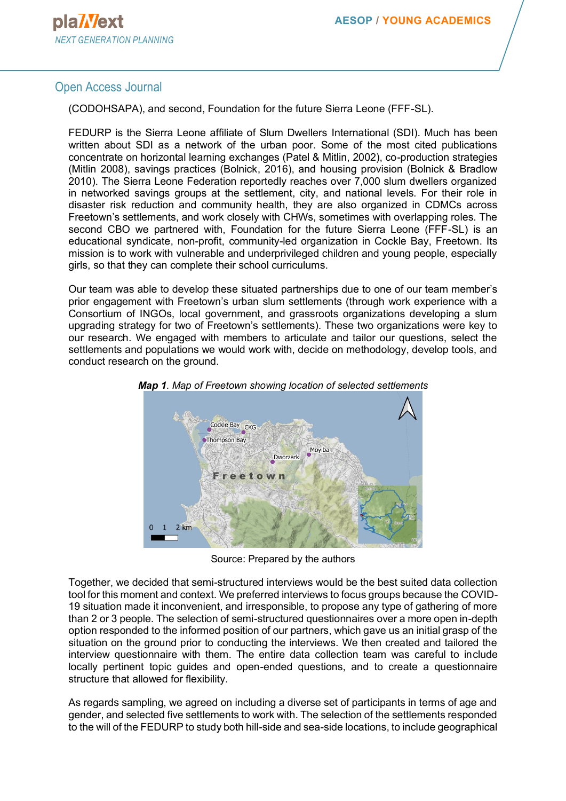(CODOHSAPA), and second, Foundation for the future Sierra Leone (FFF-SL).

FEDURP is the Sierra Leone affiliate of Slum Dwellers International (SDI). Much has been written about SDI as a network of the urban poor. Some of the most cited publications concentrate on horizontal learning exchanges (Patel & Mitlin, 2002), co-production strategies (Mitlin 2008), savings practices (Bolnick, 2016), and housing provision (Bolnick & Bradlow 2010). The Sierra Leone Federation reportedly reaches over 7,000 slum dwellers organized in networked savings groups at the settlement, city, and national levels. For their role in disaster risk reduction and community health, they are also organized in CDMCs across Freetown's settlements, and work closely with CHWs, sometimes with overlapping roles. The second CBO we partnered with, Foundation for the future Sierra Leone (FFF-SL) is an educational syndicate, non-profit, community-led organization in Cockle Bay, Freetown. Its mission is to work with vulnerable and underprivileged children and young people, especially girls, so that they can complete their school curriculums.

Our team was able to develop these situated partnerships due to one of our team member's prior engagement with Freetown's urban slum settlements (through work experience with a Consortium of INGOs, local government, and grassroots organizations developing a slum upgrading strategy for two of Freetown's settlements). These two organizations were key to our research. We engaged with members to articulate and tailor our questions, select the settlements and populations we would work with, decide on methodology, develop tools, and conduct research on the ground.





Source: Prepared by the authors

Together, we decided that semi-structured interviews would be the best suited data collection tool for this moment and context. We preferred interviews to focus groups because the COVID-19 situation made it inconvenient, and irresponsible, to propose any type of gathering of more than 2 or 3 people. The selection of semi-structured questionnaires over a more open in-depth option responded to the informed position of our partners, which gave us an initial grasp of the situation on the ground prior to conducting the interviews. We then created and tailored the interview questionnaire with them. The entire data collection team was careful to include locally pertinent topic guides and open-ended questions, and to create a questionnaire structure that allowed for flexibility.

As regards sampling, we agreed on including a diverse set of participants in terms of age and gender, and selected five settlements to work with. The selection of the settlements responded to the will of the FEDURP to study both hill-side and sea-side locations, to include geographical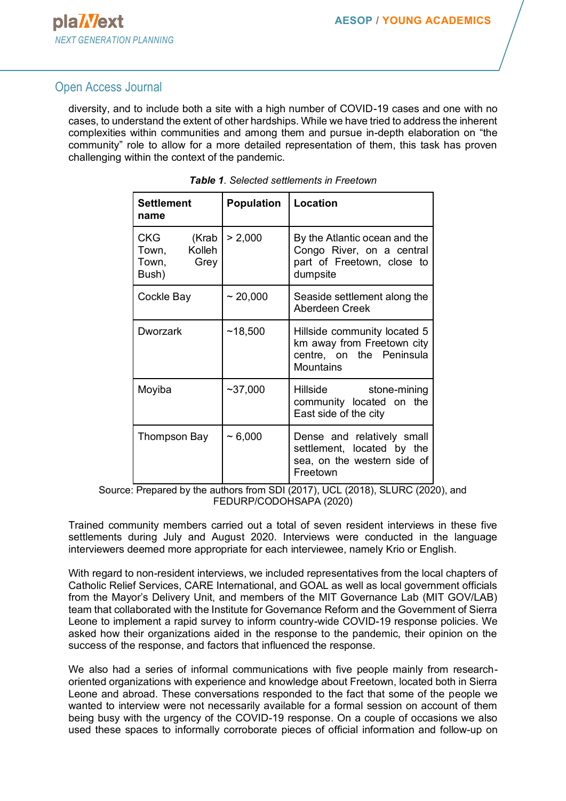diversity, and to include both a site with a high number of COVID-19 cases and one with no cases, to understand the extent of other hardships. While we have tried to address the inherent complexities within communities and among them and pursue in-depth elaboration on "the community" role to allow for a more detailed representation of them, this task has proven challenging within the context of the pandemic.

| <b>Settlement</b><br>name                                     | <b>Population</b> | <b>Location</b>                                                                                            |
|---------------------------------------------------------------|-------------------|------------------------------------------------------------------------------------------------------------|
| <b>CKG</b><br>(Krab<br>Town, Kolleh<br>Grey<br>Town,<br>Bush) | > 2,000           | By the Atlantic ocean and the<br>Congo River, on a central<br>part of Freetown, close to<br>dumpsite       |
| Cockle Bay                                                    | $\sim$ 20,000     | Seaside settlement along the<br>Aberdeen Creek                                                             |
| <b>Dworzark</b>                                               | ~18,500           | Hillside community located 5<br>km away from Freetown city<br>centre, on the Peninsula<br><b>Mountains</b> |
| Moyiba                                                        | $~1$ -37,000      | Hillside<br>stone-mining<br>community located on the<br>East side of the city                              |
| Thompson Bay                                                  | $~1$ 6,000        | Dense and relatively small<br>settlement, located by the<br>sea, on the western side of<br>Freetown        |

| <b>Table 1.</b> Selected settlements in Freetown |
|--------------------------------------------------|
|--------------------------------------------------|

Source: Prepared by the authors from SDI (2017), UCL (2018), SLURC (2020), and FEDURP/CODOHSAPA (2020)

Trained community members carried out a total of seven resident interviews in these five settlements during July and August 2020. Interviews were conducted in the language interviewers deemed more appropriate for each interviewee, namely Krio or English.

With regard to non-resident interviews, we included representatives from the local chapters of Catholic Relief Services, CARE International, and GOAL as well as local government officials from the Mayor's Delivery Unit, and members of the MIT Governance Lab (MIT GOV/LAB) team that collaborated with the Institute for Governance Reform and the Government of Sierra Leone to implement a rapid survey to inform country-wide COVID-19 response policies. We asked how their organizations aided in the response to the pandemic, their opinion on the success of the response, and factors that influenced the response.

We also had a series of informal communications with five people mainly from researchoriented organizations with experience and knowledge about Freetown, located both in Sierra Leone and abroad. These conversations responded to the fact that some of the people we wanted to interview were not necessarily available for a formal session on account of them being busy with the urgency of the COVID-19 response. On a couple of occasions we also used these spaces to informally corroborate pieces of official information and follow-up on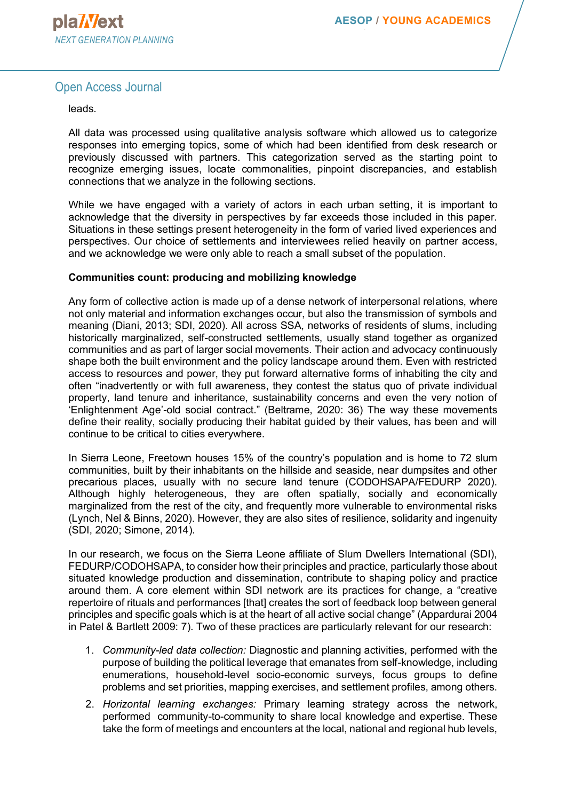leads.

All data was processed using qualitative analysis software which allowed us to categorize responses into emerging topics, some of which had been identified from desk research or previously discussed with partners. This categorization served as the starting point to recognize emerging issues, locate commonalities, pinpoint discrepancies, and establish connections that we analyze in the following sections.

While we have engaged with a variety of actors in each urban setting, it is important to acknowledge that the diversity in perspectives by far exceeds those included in this paper. Situations in these settings present heterogeneity in the form of varied lived experiences and perspectives. Our choice of settlements and interviewees relied heavily on partner access, and we acknowledge we were only able to reach a small subset of the population.

#### **Communities count: producing and mobilizing knowledge**

Any form of collective action is made up of a dense network of interpersonal relations, where not only material and information exchanges occur, but also the transmission of symbols and meaning (Diani, 2013; SDI, 2020). All across SSA, networks of residents of slums, including historically marginalized, self-constructed settlements, usually stand together as organized communities and as part of larger social movements. Their action and advocacy continuously shape both the built environment and the policy landscape around them. Even with restricted access to resources and power, they put forward alternative forms of inhabiting the city and often "inadvertently or with full awareness, they contest the status quo of private individual property, land tenure and inheritance, sustainability concerns and even the very notion of 'Enlightenment Age'-old social contract." (Beltrame, 2020: 36) The way these movements define their reality, socially producing their habitat guided by their values, has been and will continue to be critical to cities everywhere.

In Sierra Leone, Freetown houses 15% of the country's population and is home to 72 slum communities, built by their inhabitants on the hillside and seaside, near dumpsites and other precarious places, usually with no secure land tenure (CODOHSAPA/FEDURP 2020). Although highly heterogeneous, they are often spatially, socially and economically marginalized from the rest of the city, and frequently more vulnerable to environmental risks (Lynch, Nel & Binns, 2020). However, they are also sites of resilience, solidarity and ingenuity (SDI, 2020; Simone, 2014).

In our research, we focus on the Sierra Leone affiliate of Slum Dwellers International (SDI), FEDURP/CODOHSAPA, to consider how their principles and practice, particularly those about situated knowledge production and dissemination, contribute to shaping policy and practice around them. A core element within SDI network are its practices for change, a "creative repertoire of rituals and performances [that] creates the sort of feedback loop between general principles and specific goals which is at the heart of all active social change" (Appardurai 2004 in Patel & Bartlett 2009: 7). Two of these practices are particularly relevant for our research:

- 1. *Community-led data collection:* Diagnostic and planning activities, performed with the purpose of building the political leverage that emanates from self-knowledge, including enumerations, household-level socio-economic surveys, focus groups to define problems and set priorities, mapping exercises, and settlement profiles, among others.
- 2. *Horizontal learning exchanges:* Primary learning strategy across the network, performed community-to-community to share local knowledge and expertise. These take the form of meetings and encounters at the local, national and regional hub levels,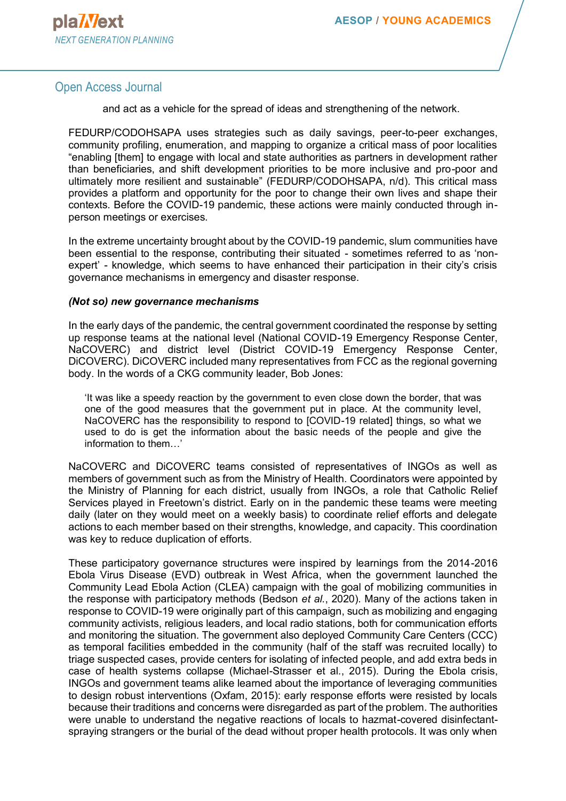and act as a vehicle for the spread of ideas and strengthening of the network.

FEDURP/CODOHSAPA uses strategies such as daily savings, peer-to-peer exchanges, community profiling, enumeration, and mapping to organize a critical mass of poor localities "enabling [them] to engage with local and state authorities as partners in development rather than beneficiaries, and shift development priorities to be more inclusive and pro-poor and ultimately more resilient and sustainable" (FEDURP/CODOHSAPA, n/d). This critical mass provides a platform and opportunity for the poor to change their own lives and shape their contexts. Before the COVID-19 pandemic, these actions were mainly conducted through inperson meetings or exercises.

In the extreme uncertainty brought about by the COVID-19 pandemic, slum communities have been essential to the response, contributing their situated - sometimes referred to as 'nonexpert' - knowledge, which seems to have enhanced their participation in their city's crisis governance mechanisms in emergency and disaster response.

#### *(Not so) new governance mechanisms*

In the early days of the pandemic, the central government coordinated the response by setting up response teams at the national level (National COVID-19 Emergency Response Center, NaCOVERC) and district level (District COVID-19 Emergency Response Center, DiCOVERC). DiCOVERC included many representatives from FCC as the regional governing body. In the words of a CKG community leader, Bob Jones:

'It was like a speedy reaction by the government to even close down the border, that was one of the good measures that the government put in place. At the community level, NaCOVERC has the responsibility to respond to [COVID-19 related] things, so what we used to do is get the information about the basic needs of the people and give the information to them…'

NaCOVERC and DiCOVERC teams consisted of representatives of INGOs as well as members of government such as from the Ministry of Health. Coordinators were appointed by the Ministry of Planning for each district, usually from INGOs, a role that Catholic Relief Services played in Freetown's district. Early on in the pandemic these teams were meeting daily (later on they would meet on a weekly basis) to coordinate relief efforts and delegate actions to each member based on their strengths, knowledge, and capacity. This coordination was key to reduce duplication of efforts.

These participatory governance structures were inspired by learnings from the 2014-2016 Ebola Virus Disease (EVD) outbreak in West Africa, when the government launched the Community Lead Ebola Action (CLEA) campaign with the goal of mobilizing communities in the response with participatory methods (Bedson *et al.*, 2020). Many of the actions taken in response to COVID-19 were originally part of this campaign, such as mobilizing and engaging community activists, religious leaders, and local radio stations, both for communication efforts and monitoring the situation. The government also deployed Community Care Centers (CCC) as temporal facilities embedded in the community (half of the staff was recruited locally) to triage suspected cases, provide centers for isolating of infected people, and add extra beds in case of health systems collapse (Michael-Strasser et al*.*, 2015). During the Ebola crisis, INGOs and government teams alike learned about the importance of leveraging communities to design robust interventions (Oxfam, 2015): early response efforts were resisted by locals because their traditions and concerns were disregarded as part of the problem. The authorities were unable to understand the negative reactions of locals to hazmat-covered disinfectantspraying strangers or the burial of the dead without proper health protocols. It was only when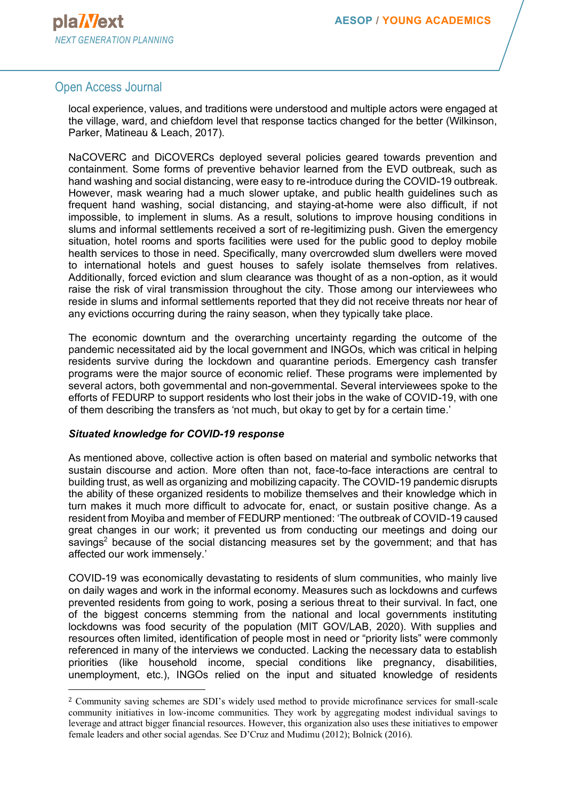local experience, values, and traditions were understood and multiple actors were engaged at the village, ward, and chiefdom level that response tactics changed for the better (Wilkinson, Parker, Matineau & Leach, 2017).

NaCOVERC and DiCOVERCs deployed several policies geared towards prevention and containment. Some forms of preventive behavior learned from the EVD outbreak, such as hand washing and social distancing, were easy to re-introduce during the COVID-19 outbreak. However, mask wearing had a much slower uptake, and public health guidelines such as frequent hand washing, social distancing, and staying-at-home were also difficult, if not impossible, to implement in slums. As a result, solutions to improve housing conditions in slums and informal settlements received a sort of re-legitimizing push. Given the emergency situation, hotel rooms and sports facilities were used for the public good to deploy mobile health services to those in need. Specifically, many overcrowded slum dwellers were moved to international hotels and guest houses to safely isolate themselves from relatives. Additionally, forced eviction and slum clearance was thought of as a non-option, as it would raise the risk of viral transmission throughout the city. Those among our interviewees who reside in slums and informal settlements reported that they did not receive threats nor hear of any evictions occurring during the rainy season, when they typically take place.

The economic downturn and the overarching uncertainty regarding the outcome of the pandemic necessitated aid by the local government and INGOs, which was critical in helping residents survive during the lockdown and quarantine periods. Emergency cash transfer programs were the major source of economic relief. These programs were implemented by several actors, both governmental and non-governmental. Several interviewees spoke to the efforts of FEDURP to support residents who lost their jobs in the wake of COVID-19, with one of them describing the transfers as 'not much, but okay to get by for a certain time.'

#### *Situated knowledge for COVID-19 response*

As mentioned above, collective action is often based on material and symbolic networks that sustain discourse and action. More often than not, face-to-face interactions are central to building trust, as well as organizing and mobilizing capacity. The COVID-19 pandemic disrupts the ability of these organized residents to mobilize themselves and their knowledge which in turn makes it much more difficult to advocate for, enact, or sustain positive change. As a resident from Moyiba and member of FEDURP mentioned: 'The outbreak of COVID-19 caused great changes in our work; it prevented us from conducting our meetings and doing our savings<sup>2</sup> because of the social distancing measures set by the government; and that has affected our work immensely.'

COVID-19 was economically devastating to residents of slum communities, who mainly live on daily wages and work in the informal economy. Measures such as lockdowns and curfews prevented residents from going to work, posing a serious threat to their survival. In fact, one of the biggest concerns stemming from the national and local governments instituting lockdowns was food security of the population (MIT GOV/LAB, 2020). With supplies and resources often limited, identification of people most in need or "priority lists" were commonly referenced in many of the interviews we conducted. Lacking the necessary data to establish priorities (like household income, special conditions like pregnancy, disabilities, unemployment, etc.), INGOs relied on the input and situated knowledge of residents

<sup>2</sup> Community saving schemes are SDI's widely used method to provide microfinance services for small-scale community initiatives in low-income communities. They work by aggregating modest individual savings to leverage and attract bigger financial resources. However, this organization also uses these initiatives to empower female leaders and other social agendas. See D'Cruz and Mudimu (2012); Bolnick (2016).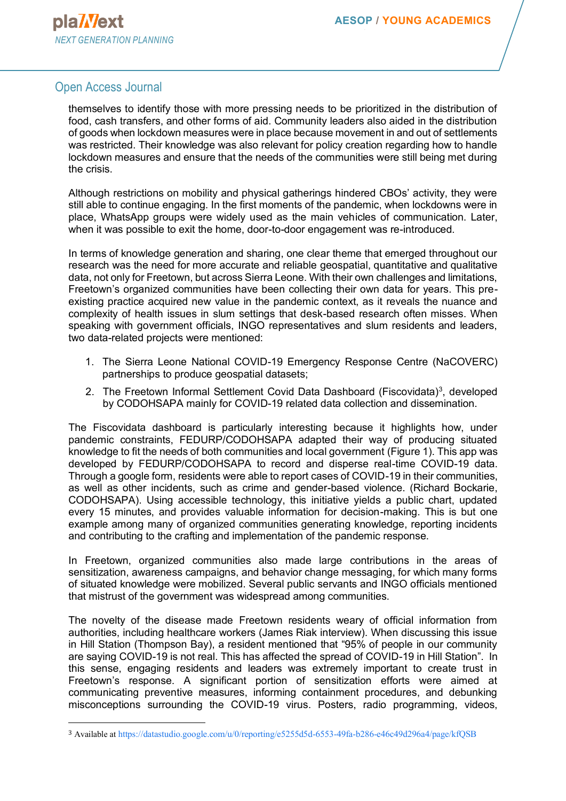themselves to identify those with more pressing needs to be prioritized in the distribution of food, cash transfers, and other forms of aid. Community leaders also aided in the distribution of goods when lockdown measures were in place because movement in and out of settlements was restricted. Their knowledge was also relevant for policy creation regarding how to handle lockdown measures and ensure that the needs of the communities were still being met during the crisis.

Although restrictions on mobility and physical gatherings hindered CBOs' activity, they were still able to continue engaging. In the first moments of the pandemic, when lockdowns were in place, WhatsApp groups were widely used as the main vehicles of communication. Later, when it was possible to exit the home, door-to-door engagement was re-introduced.

In terms of knowledge generation and sharing, one clear theme that emerged throughout our research was the need for more accurate and reliable geospatial, quantitative and qualitative data, not only for Freetown, but across Sierra Leone. With their own challenges and limitations, Freetown's organized communities have been collecting their own data for years. This preexisting practice acquired new value in the pandemic context, as it reveals the nuance and complexity of health issues in slum settings that desk-based research often misses. When speaking with government officials, INGO representatives and slum residents and leaders, two data-related projects were mentioned:

- 1. The Sierra Leone National COVID-19 Emergency Response Centre (NaCOVERC) partnerships to produce geospatial datasets;
- 2. The Freetown Informal Settlement Covid Data Dashboard (Fiscovidata)<sup>3</sup>, developed by CODOHSAPA mainly for COVID-19 related data collection and dissemination.

The Fiscovidata dashboard is particularly interesting because it highlights how, under pandemic constraints, FEDURP/CODOHSAPA adapted their way of producing situated knowledge to fit the needs of both communities and local government (Figure 1). This app was developed by FEDURP/CODOHSAPA to record and disperse real-time COVID-19 data. Through a google form, residents were able to report cases of COVID-19 in their communities, as well as other incidents, such as crime and gender-based violence. (Richard Bockarie, CODOHSAPA). Using accessible technology, this initiative yields a public chart, updated every 15 minutes, and provides valuable information for decision-making. This is but one example among many of organized communities generating knowledge, reporting incidents and contributing to the crafting and implementation of the pandemic response.

In Freetown, organized communities also made large contributions in the areas of sensitization, awareness campaigns, and behavior change messaging, for which many forms of situated knowledge were mobilized. Several public servants and INGO officials mentioned that mistrust of the government was widespread among communities.

The novelty of the disease made Freetown residents weary of official information from authorities, including healthcare workers (James Riak interview). When discussing this issue in Hill Station (Thompson Bay), a resident mentioned that "95% of people in our community are saying COVID-19 is not real. This has affected the spread of COVID-19 in Hill Station". In this sense, engaging residents and leaders was extremely important to create trust in Freetown's response. A significant portion of sensitization efforts were aimed at communicating preventive measures, informing containment procedures, and debunking misconceptions surrounding the COVID-19 virus. Posters, radio programming, videos,

<sup>3</sup> Available at <https://datastudio.google.com/u/0/reporting/e5255d5d-6553-49fa-b286-e46c49d296a4/page/kfQSB>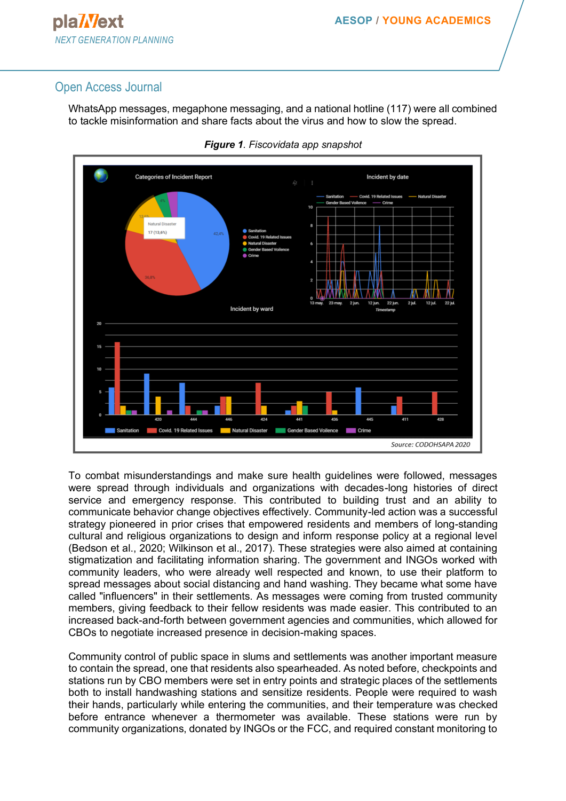# pla**Wext** *NEXT GENERATION PLANNING*

# Open Access Journal

WhatsApp messages, megaphone messaging, and a national hotline (117) were all combined to tackle misinformation and share facts about the virus and how to slow the spread.





To combat misunderstandings and make sure health guidelines were followed, messages were spread through individuals and organizations with decades-long histories of direct service and emergency response. This contributed to building trust and an ability to communicate behavior change objectives effectively. Community-led action was a successful strategy pioneered in prior crises that empowered residents and members of long-standing cultural and religious organizations to design and inform response policy at a regional level (Bedson et al., 2020; Wilkinson et al., 2017). These strategies were also aimed at containing stigmatization and facilitating information sharing. The government and INGOs worked with community leaders, who were already well respected and known, to use their platform to spread messages about social distancing and hand washing. They became what some have called "influencers" in their settlements. As messages were coming from trusted community members, giving feedback to their fellow residents was made easier. This contributed to an increased back-and-forth between government agencies and communities, which allowed for CBOs to negotiate increased presence in decision-making spaces.

Community control of public space in slums and settlements was another important measure to contain the spread, one that residents also spearheaded. As noted before, checkpoints and stations run by CBO members were set in entry points and strategic places of the settlements both to install handwashing stations and sensitize residents. People were required to wash their hands, particularly while entering the communities, and their temperature was checked before entrance whenever a thermometer was available. These stations were run by community organizations, donated by INGOs or the FCC, and required constant monitoring to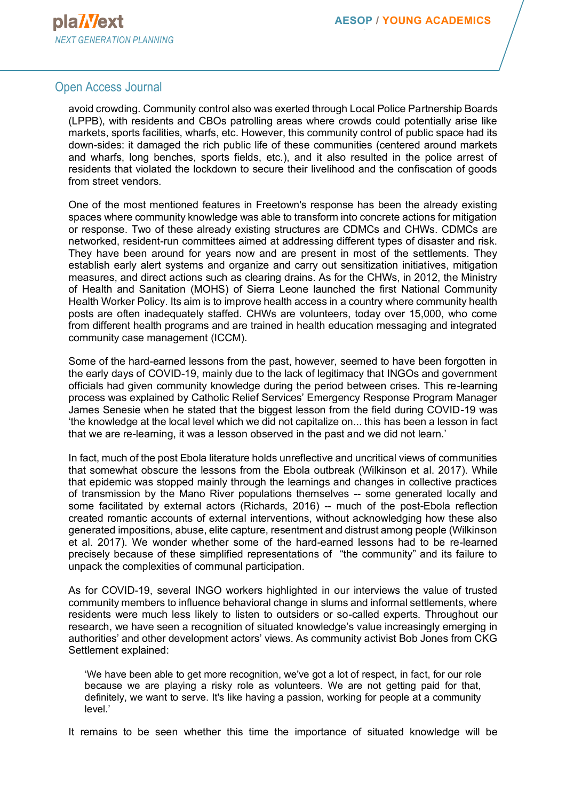avoid crowding. Community control also was exerted through Local Police Partnership Boards (LPPB), with residents and CBOs patrolling areas where crowds could potentially arise like markets, sports facilities, wharfs, etc. However, this community control of public space had its down-sides: it damaged the rich public life of these communities (centered around markets and wharfs, long benches, sports fields, etc.), and it also resulted in the police arrest of residents that violated the lockdown to secure their livelihood and the confiscation of goods from street vendors.

One of the most mentioned features in Freetown's response has been the already existing spaces where community knowledge was able to transform into concrete actions for mitigation or response. Two of these already existing structures are CDMCs and CHWs. CDMCs are networked, resident-run committees aimed at addressing different types of disaster and risk. They have been around for years now and are present in most of the settlements. They establish early alert systems and organize and carry out sensitization initiatives, mitigation measures, and direct actions such as clearing drains. As for the CHWs, in 2012, the Ministry of Health and Sanitation (MOHS) of Sierra Leone launched the first National Community Health Worker Policy. Its aim is to improve health access in a country where community health posts are often inadequately staffed. CHWs are volunteers, today over 15,000, who come from different health programs and are trained in health education messaging and integrated community case management (ICCM).

Some of the hard-earned lessons from the past, however, seemed to have been forgotten in the early days of COVID-19, mainly due to the lack of legitimacy that INGOs and government officials had given community knowledge during the period between crises. This re-learning process was explained by Catholic Relief Services' Emergency Response Program Manager James Senesie when he stated that the biggest lesson from the field during COVID-19 was 'the knowledge at the local level which we did not capitalize on... this has been a lesson in fact that we are re-learning, it was a lesson observed in the past and we did not learn.'

In fact, much of the post Ebola literature holds unreflective and uncritical views of communities that somewhat obscure the lessons from the Ebola outbreak (Wilkinson et al. 2017). While that epidemic was stopped mainly through the learnings and changes in collective practices of transmission by the Mano River populations themselves -- some generated locally and some facilitated by external actors (Richards, 2016) -- much of the post-Ebola reflection created romantic accounts of external interventions, without acknowledging how these also generated impositions, abuse, elite capture, resentment and distrust among people (Wilkinson et al. 2017). We wonder whether some of the hard-earned lessons had to be re-learned precisely because of these simplified representations of "the community" and its failure to unpack the complexities of communal participation.

As for COVID-19, several INGO workers highlighted in our interviews the value of trusted community members to influence behavioral change in slums and informal settlements, where residents were much less likely to listen to outsiders or so-called experts. Throughout our research, we have seen a recognition of situated knowledge's value increasingly emerging in authorities' and other development actors' views. As community activist Bob Jones from CKG Settlement explained:

'We have been able to get more recognition, we've got a lot of respect, in fact, for our role because we are playing a risky role as volunteers. We are not getting paid for that, definitely, we want to serve. It's like having a passion, working for people at a community level.'

It remains to be seen whether this time the importance of situated knowledge will be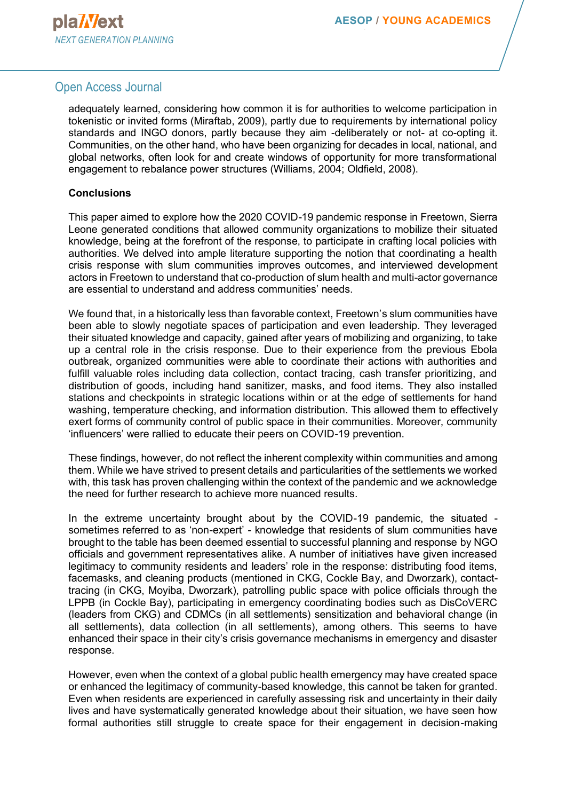adequately learned, considering how common it is for authorities to welcome participation in tokenistic or invited forms (Miraftab, 2009), partly due to requirements by international policy standards and INGO donors, partly because they aim -deliberately or not- at co-opting it. Communities, on the other hand, who have been organizing for decades in local, national, and global networks, often look for and create windows of opportunity for more transformational engagement to rebalance power structures (Williams, 2004; Oldfield, 2008).

#### **Conclusions**

This paper aimed to explore how the 2020 COVID-19 pandemic response in Freetown, Sierra Leone generated conditions that allowed community organizations to mobilize their situated knowledge, being at the forefront of the response, to participate in crafting local policies with authorities. We delved into ample literature supporting the notion that coordinating a health crisis response with slum communities improves outcomes, and interviewed development actors in Freetown to understand that co-production of slum health and multi-actor governance are essential to understand and address communities' needs.

We found that, in a historically less than favorable context, Freetown's slum communities have been able to slowly negotiate spaces of participation and even leadership. They leveraged their situated knowledge and capacity, gained after years of mobilizing and organizing, to take up a central role in the crisis response. Due to their experience from the previous Ebola outbreak, organized communities were able to coordinate their actions with authorities and fulfill valuable roles including data collection, contact tracing, cash transfer prioritizing, and distribution of goods, including hand sanitizer, masks, and food items. They also installed stations and checkpoints in strategic locations within or at the edge of settlements for hand washing, temperature checking, and information distribution. This allowed them to effectively exert forms of community control of public space in their communities. Moreover, community 'influencers' were rallied to educate their peers on COVID-19 prevention.

These findings, however, do not reflect the inherent complexity within communities and among them. While we have strived to present details and particularities of the settlements we worked with, this task has proven challenging within the context of the pandemic and we acknowledge the need for further research to achieve more nuanced results.

In the extreme uncertainty brought about by the COVID-19 pandemic, the situated sometimes referred to as 'non-expert' - knowledge that residents of slum communities have brought to the table has been deemed essential to successful planning and response by NGO officials and government representatives alike. A number of initiatives have given increased legitimacy to community residents and leaders' role in the response: distributing food items, facemasks, and cleaning products (mentioned in CKG, Cockle Bay, and Dworzark), contacttracing (in CKG, Moyiba, Dworzark), patrolling public space with police officials through the LPPB (in Cockle Bay), participating in emergency coordinating bodies such as DisCoVERC (leaders from CKG) and CDMCs (in all settlements) sensitization and behavioral change (in all settlements), data collection (in all settlements), among others. This seems to have enhanced their space in their city's crisis governance mechanisms in emergency and disaster response.

However, even when the context of a global public health emergency may have created space or enhanced the legitimacy of community-based knowledge, this cannot be taken for granted. Even when residents are experienced in carefully assessing risk and uncertainty in their daily lives and have systematically generated knowledge about their situation, we have seen how formal authorities still struggle to create space for their engagement in decision-making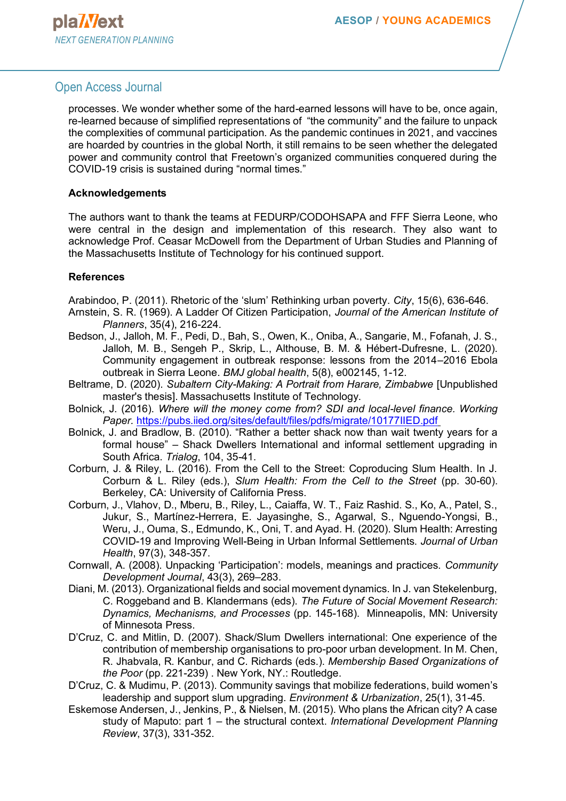processes. We wonder whether some of the hard-earned lessons will have to be, once again, re-learned because of simplified representations of "the community" and the failure to unpack the complexities of communal participation. As the pandemic continues in 2021, and vaccines are hoarded by countries in the global North, it still remains to be seen whether the delegated power and community control that Freetown's organized communities conquered during the COVID-19 crisis is sustained during "normal times."

#### **Acknowledgements**

The authors want to thank the teams at FEDURP/CODOHSAPA and FFF Sierra Leone, who were central in the design and implementation of this research. They also want to acknowledge Prof. Ceasar McDowell from the Department of Urban Studies and Planning of the Massachusetts Institute of Technology for his continued support.

#### **References**

Arabindoo, P. (2011). Rhetoric of the 'slum' Rethinking urban poverty. *City*, 15(6), 636-646.

- Arnstein, S. R. (1969). A Ladder Of Citizen Participation, *Journal of the American Institute of Planners*, 35(4), 216-224.
- Bedson, J., Jalloh, M. F., Pedi, D., Bah, S., Owen, K., Oniba, A., Sangarie, M., Fofanah, J. S., Jalloh, M. B., Sengeh P., Skrip, L., Althouse, B. M. & Hébert-Dufresne, L. (2020). Community engagement in outbreak response: lessons from the 2014–2016 Ebola outbreak in Sierra Leone. *BMJ global health*, 5(8), e002145, 1-12.
- Beltrame, D. (2020). *Subaltern City-Making: A Portrait from Harare, Zimbabwe* [Unpublished master's thesis]. Massachusetts Institute of Technology.
- Bolnick, J. (2016). *Where will the money come from? SDI and local-level finance. Working Paper.* <https://pubs.iied.org/sites/default/files/pdfs/migrate/10177IIED.pdf>
- Bolnick, J. and Bradlow, B. (2010). "Rather a better shack now than wait twenty years for a formal house" – Shack Dwellers International and informal settlement upgrading in South Africa. *Trialog*, 104, 35-41.
- Corburn, J. & Riley, L. (2016). From the Cell to the Street: Coproducing Slum Health. In J. Corburn & L. Riley (eds.), *Slum Health: From the Cell to the Street* (pp. 30-60). Berkeley, CA: University of California Press.
- Corburn, J., Vlahov, D., Mberu, B., Riley, L., Caiaffa, W. T., Faiz Rashid. S., Ko, A., Patel, S., Jukur, S., Martínez-Herrera, E. Jayasinghe, S., Agarwal, S., Nguendo-Yongsi, B., Weru, J., Ouma, S., Edmundo, K., Oni, T. and Ayad. H. (2020). Slum Health: Arresting COVID-19 and Improving Well-Being in Urban Informal Settlements. *Journal of Urban Health*, 97(3), 348-357.
- Cornwall, A. (2008). Unpacking 'Participation': models, meanings and practices. *Community Development Journal*, 43(3), 269–283.
- Diani, M. (2013). Organizational fields and social movement dynamics. In J. van Stekelenburg, C. Roggeband and B. Klandermans (eds). *The Future of Social Movement Research: Dynamics, Mechanisms, and Processes* (pp. 145-168). Minneapolis, MN: University of Minnesota Press.
- D'Cruz, C. and Mitlin, D. (2007). Shack/Slum Dwellers international: One experience of the contribution of membership organisations to pro-poor urban development. In M. Chen, R. Jhabvala, R. Kanbur, and C. Richards (eds.). *Membership Based Organizations of the Poor* (pp. 221-239) . New York, NY.: Routledge.
- D'Cruz, C. & Mudimu, P. (2013). Community savings that mobilize federations, build women's leadership and support slum upgrading. *Environment & Urbanization*, 25(1), 31-45.
- Eskemose Andersen, J., Jenkins, P., & Nielsen, M. (2015). Who plans the African city? A case study of Maputo: part 1 – the structural context. *International Development Planning Review*, 37(3), 331-352.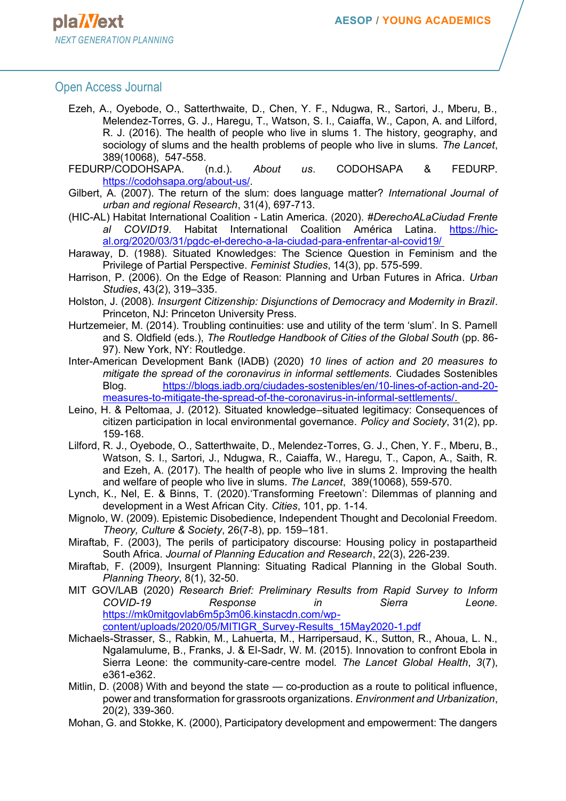- Ezeh, A., Oyebode, O., Satterthwaite, D., Chen, Y. F., Ndugwa, R., Sartori, J., Mberu, B., Melendez-Torres, G. J., Haregu, T., Watson, S. I., Caiaffa, W., Capon, A. and Lilford, R. J. (2016). The health of people who live in slums 1. The history, geography, and sociology of slums and the health problems of people who live in slums. *The Lancet*, 389(10068), 547-558.
- FEDURP/CODOHSAPA. (n.d.). *About us*. CODOHSAPA & FEDURP. [https://codohsapa.org/about-us/.](https://codohsapa.org/about-us/)
- Gilbert, A. (2007). The return of the slum: does language matter? *International Journal of urban and regional Research*, 31(4), 697-713.
- (HIC-AL) Habitat International Coalition Latin America. (2020). *#DerechoALaCiudad Frente*  al COVID19. Habitat International Coalition América Latina. [https://hic](https://hic-al.org/2020/03/31/pgdc-el-derecho-a-la-ciudad-para-enfrentar-al-covid19/)[al.org/2020/03/31/pgdc-el-derecho-a-la-ciudad-para-enfrentar-al-covid19/](https://hic-al.org/2020/03/31/pgdc-el-derecho-a-la-ciudad-para-enfrentar-al-covid19/)
- Haraway, D. (1988). Situated Knowledges: The Science Question in Feminism and the Privilege of Partial Perspective. *Feminist Studies*, 14(3), pp. 575-599.
- Harrison, P. (2006). On the Edge of Reason: Planning and Urban Futures in Africa. *Urban Studies*, 43(2), 319–335.
- Holston, J. (2008). *Insurgent Citizenship: Disjunctions of Democracy and Modernity in Brazil*. Princeton, NJ: Princeton University Press.
- Hurtzemeier, M. (2014). Troubling continuities: use and utility of the term 'slum'. In S. Parnell and S. Oldfield (eds.), *The Routledge Handbook of Cities of the Global South* (pp. 86- 97). New York, NY: Routledge.
- Inter-American Development Bank (IADB) (2020) *10 lines of action and 20 measures to mitigate the spread of the coronavirus in informal settlements.* Ciudades Sostenibles Blog. [https://blogs.iadb.org/ciudades-sostenibles/en/10-lines-of-action-and-20](https://blogs.iadb.org/ciudades-sostenibles/en/10-lines-of-action-and-20-measures-to-mitigate-the-spread-of-the-coronavirus-in-informal-settlements/) [measures-to-mitigate-the-spread-of-the-coronavirus-in-informal-settlements/.](https://blogs.iadb.org/ciudades-sostenibles/en/10-lines-of-action-and-20-measures-to-mitigate-the-spread-of-the-coronavirus-in-informal-settlements/)
- Leino, H. & Peltomaa, J. (2012). Situated knowledge–situated legitimacy: Consequences of citizen participation in local environmental governance. *Policy and Society*, 31(2), pp. 159-168.
- Lilford, R. J., Oyebode, O., Satterthwaite, D., Melendez-Torres, G. J., Chen, Y. F., Mberu, B., Watson, S. I., Sartori, J., Ndugwa, R., Caiaffa, W., Haregu, T., Capon, A., Saith, R. and Ezeh, A. (2017). The health of people who live in slums 2. Improving the health and welfare of people who live in slums. *The Lancet*, 389(10068), 559-570.
- Lynch, K., Nel, E. & Binns, T. (2020).'Transforming Freetown': Dilemmas of planning and development in a West African City. *Cities*, 101, pp. 1-14.
- Mignolo, W. (2009). Epistemic Disobedience, Independent Thought and Decolonial Freedom. *Theory, Culture & Society*, 26(7-8), pp. 159–181.
- Miraftab, F. (2003), The perils of participatory discourse: Housing policy in postapartheid South Africa. *Journal of Planning Education and Research*, 22(3), 226-239.
- Miraftab, F. (2009), Insurgent Planning: Situating Radical Planning in the Global South. *Planning Theory*, 8(1), 32-50.
- MIT GOV/LAB (2020) *Research Brief: Preliminary Results from Rapid Survey to Inform COVID-19 Response in Sierra Leone.* [https://mk0mitgovlab6m5p3m06.kinstacdn.com/wp](https://mk0mitgovlab6m5p3m06.kinstacdn.com/wp-content/uploads/2020/05/MITIGR_Survey-Results_15May2020-1.pdf)[content/uploads/2020/05/MITIGR\\_Survey-Results\\_15May2020-1.pdf](https://mk0mitgovlab6m5p3m06.kinstacdn.com/wp-content/uploads/2020/05/MITIGR_Survey-Results_15May2020-1.pdf)
- Michaels-Strasser, S., Rabkin, M., Lahuerta, M., Harripersaud, K., Sutton, R., Ahoua, L. N., Ngalamulume, B., Franks, J. & El-Sadr, W. M. (2015). Innovation to confront Ebola in Sierra Leone: the community-care-centre model. *The Lancet Global Health*, *3*(7), e361-e362.
- Mitlin, D. (2008) With and beyond the state co-production as a route to political influence, power and transformation for grassroots organizations. *Environment and Urbanization*, 20(2), 339-360.
- Mohan, G. and Stokke, K. (2000), Participatory development and empowerment: The dangers